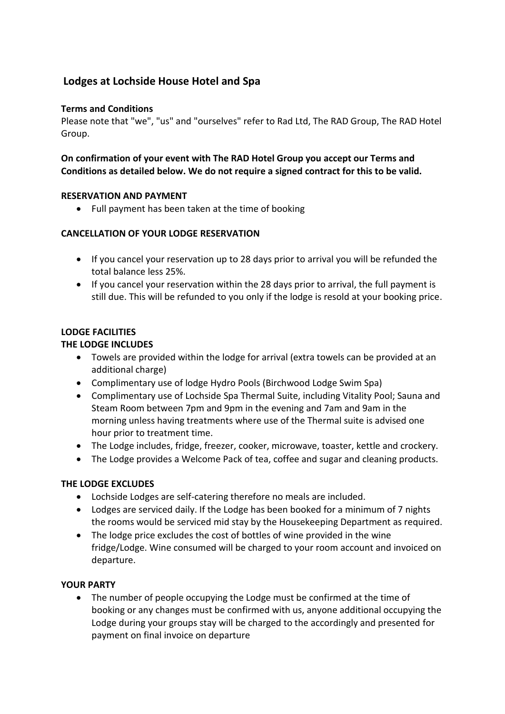# **Lodges at Lochside House Hotel and Spa**

# **Terms and Conditions**

Please note that "we", "us" and "ourselves" refer to Rad Ltd, The RAD Group, The RAD Hotel Group.

**On confirmation of your event with The RAD Hotel Group you accept our Terms and Conditions as detailed below. We do not require a signed contract for this to be valid.** 

### **RESERVATION AND PAYMENT**

• Full payment has been taken at the time of booking

### **CANCELLATION OF YOUR LODGE RESERVATION**

- If you cancel your reservation up to 28 days prior to arrival you will be refunded the total balance less 25%.
- If you cancel your reservation within the 28 days prior to arrival, the full payment is still due. This will be refunded to you only if the lodge is resold at your booking price.

# **LODGE FACILITIES**

### **THE LODGE INCLUDES**

- Towels are provided within the lodge for arrival (extra towels can be provided at an additional charge)
- Complimentary use of lodge Hydro Pools (Birchwood Lodge Swim Spa)
- Complimentary use of Lochside Spa Thermal Suite, including Vitality Pool; Sauna and Steam Room between 7pm and 9pm in the evening and 7am and 9am in the morning unless having treatments where use of the Thermal suite is advised one hour prior to treatment time.
- The Lodge includes, fridge, freezer, cooker, microwave, toaster, kettle and crockery.
- The Lodge provides a Welcome Pack of tea, coffee and sugar and cleaning products.

#### **THE LODGE EXCLUDES**

- Lochside Lodges are self-catering therefore no meals are included.
- Lodges are serviced daily. If the Lodge has been booked for a minimum of 7 nights the rooms would be serviced mid stay by the Housekeeping Department as required.
- The lodge price excludes the cost of bottles of wine provided in the wine fridge/Lodge. Wine consumed will be charged to your room account and invoiced on departure.

#### **YOUR PARTY**

• The number of people occupying the Lodge must be confirmed at the time of booking or any changes must be confirmed with us, anyone additional occupying the Lodge during your groups stay will be charged to the accordingly and presented for payment on final invoice on departure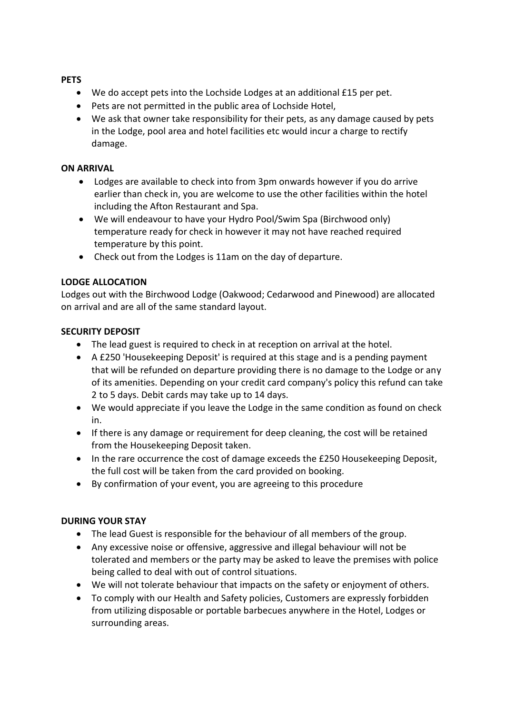### **PETS**

- We do accept pets into the Lochside Lodges at an additional £15 per pet.
- Pets are not permitted in the public area of Lochside Hotel,
- We ask that owner take responsibility for their pets, as any damage caused by pets in the Lodge, pool area and hotel facilities etc would incur a charge to rectify damage.

## **ON ARRIVAL**

- Lodges are available to check into from 3pm onwards however if you do arrive earlier than check in, you are welcome to use the other facilities within the hotel including the Afton Restaurant and Spa.
- We will endeavour to have your Hydro Pool/Swim Spa (Birchwood only) temperature ready for check in however it may not have reached required temperature by this point.
- Check out from the Lodges is 11am on the day of departure.

# **LODGE ALLOCATION**

Lodges out with the Birchwood Lodge (Oakwood; Cedarwood and Pinewood) are allocated on arrival and are all of the same standard layout.

# **SECURITY DEPOSIT**

- The lead guest is required to check in at reception on arrival at the hotel.
- A £250 'Housekeeping Deposit' is required at this stage and is a pending payment that will be refunded on departure providing there is no damage to the Lodge or any of its amenities. Depending on your credit card company's policy this refund can take 2 to 5 days. Debit cards may take up to 14 days.
- We would appreciate if you leave the Lodge in the same condition as found on check in.
- If there is any damage or requirement for deep cleaning, the cost will be retained from the Housekeeping Deposit taken.
- In the rare occurrence the cost of damage exceeds the £250 Housekeeping Deposit, the full cost will be taken from the card provided on booking.
- By confirmation of your event, you are agreeing to this procedure

# **DURING YOUR STAY**

- The lead Guest is responsible for the behaviour of all members of the group.
- Any excessive noise or offensive, aggressive and illegal behaviour will not be tolerated and members or the party may be asked to leave the premises with police being called to deal with out of control situations.
- We will not tolerate behaviour that impacts on the safety or enjoyment of others.
- To comply with our Health and Safety policies, Customers are expressly forbidden from utilizing disposable or portable barbecues anywhere in the Hotel, Lodges or surrounding areas.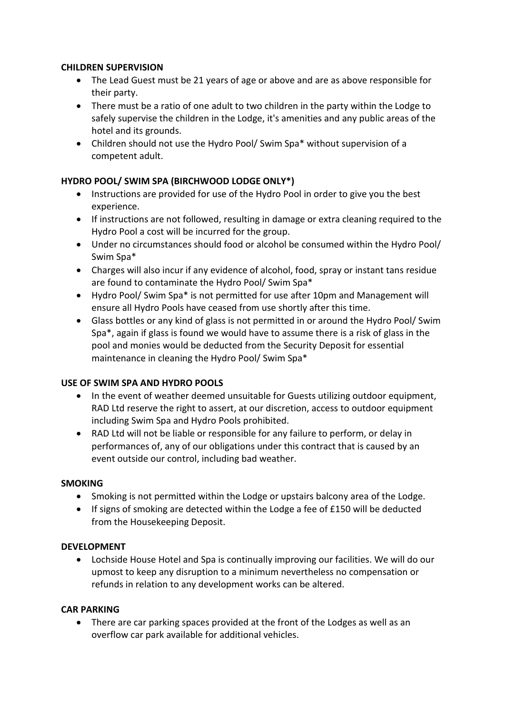## **CHILDREN SUPERVISION**

- The Lead Guest must be 21 years of age or above and are as above responsible for their party.
- There must be a ratio of one adult to two children in the party within the Lodge to safely supervise the children in the Lodge, it's amenities and any public areas of the hotel and its grounds.
- Children should not use the Hydro Pool/ Swim Spa\* without supervision of a competent adult.

# **HYDRO POOL/ SWIM SPA (BIRCHWOOD LODGE ONLY\*)**

- Instructions are provided for use of the Hydro Pool in order to give you the best experience.
- If instructions are not followed, resulting in damage or extra cleaning required to the Hydro Pool a cost will be incurred for the group.
- Under no circumstances should food or alcohol be consumed within the Hydro Pool/ Swim Spa\*
- Charges will also incur if any evidence of alcohol, food, spray or instant tans residue are found to contaminate the Hydro Pool/ Swim Spa\*
- Hydro Pool/ Swim Spa\* is not permitted for use after 10pm and Management will ensure all Hydro Pools have ceased from use shortly after this time.
- Glass bottles or any kind of glass is not permitted in or around the Hydro Pool/ Swim Spa\*, again if glass is found we would have to assume there is a risk of glass in the pool and monies would be deducted from the Security Deposit for essential maintenance in cleaning the Hydro Pool/ Swim Spa\*

# **USE OF SWIM SPA AND HYDRO POOLS**

- In the event of weather deemed unsuitable for Guests utilizing outdoor equipment, RAD Ltd reserve the right to assert, at our discretion, access to outdoor equipment including Swim Spa and Hydro Pools prohibited.
- RAD Ltd will not be liable or responsible for any failure to perform, or delay in performances of, any of our obligations under this contract that is caused by an event outside our control, including bad weather.

#### **SMOKING**

- Smoking is not permitted within the Lodge or upstairs balcony area of the Lodge.
- If signs of smoking are detected within the Lodge a fee of £150 will be deducted from the Housekeeping Deposit.

# **DEVELOPMENT**

 Lochside House Hotel and Spa is continually improving our facilities. We will do our upmost to keep any disruption to a minimum nevertheless no compensation or refunds in relation to any development works can be altered.

#### **CAR PARKING**

• There are car parking spaces provided at the front of the Lodges as well as an overflow car park available for additional vehicles.